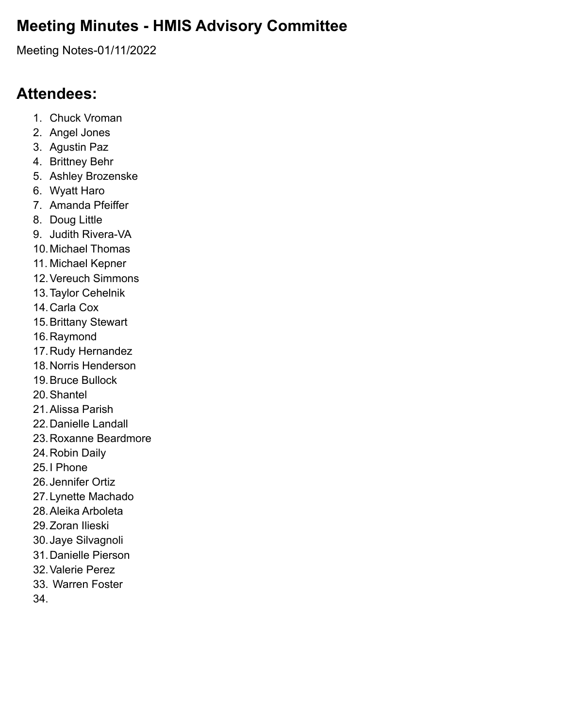## **Meeting Minutes - HMIS Advisory Committee**

Meeting Notes-01/11/2022

## **Attendees:**

- 1. Chuck Vroman
- 2. Angel Jones
- 3. Agustin Paz
- 4. Brittney Behr
- 5. Ashley Brozenske
- 6. Wyatt Haro
- 7. Amanda Pfeiffer
- 8. Doug Little
- 9. Judith Rivera-VA
- 10.Michael Thomas
- 11. Michael Kepner
- 12.Vereuch Simmons
- 13.Taylor Cehelnik
- 14.Carla Cox
- 15.Brittany Stewart
- 16.Raymond
- 17.Rudy Hernandez
- 18.Norris Henderson
- 19.Bruce Bullock
- 20.Shantel
- 21.Alissa Parish
- 22.Danielle Landall
- 23.Roxanne Beardmore
- 24.Robin Daily
- 25.I Phone
- 26.Jennifer Ortiz
- 27.Lynette Machado
- 28.Aleika Arboleta
- 29.Zoran Ilieski
- 30.Jaye Silvagnoli
- 31.Danielle Pierson
- 32.Valerie Perez
- 33. Warren Foster
- 34.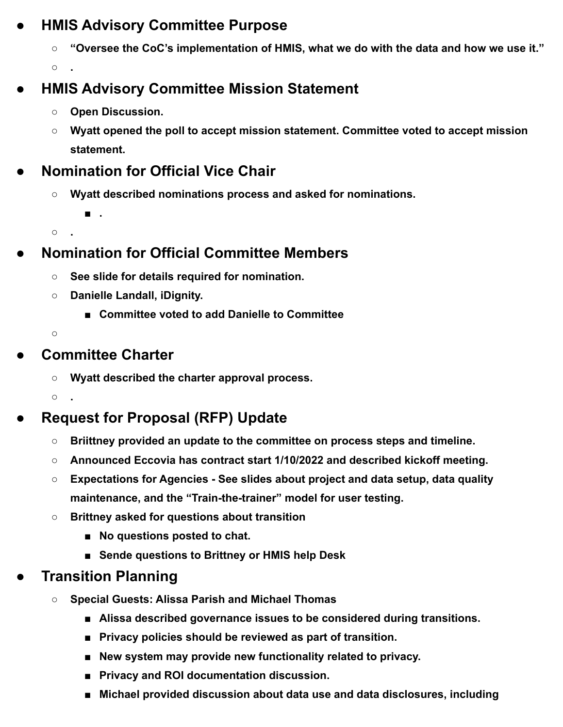### **● HMIS Advisory Committee Purpose**

**○ "Oversee the CoC's implementation of HMIS, what we do with the data and how we use it."**

**○ .**

## **● HMIS Advisory Committee Mission Statement**

- **○ Open Discussion.**
- **○ Wyatt opened the poll to accept mission statement. Committee voted to accept mission statement.**
- **● Nomination for Official Vice Chair**
	- **○ Wyatt described nominations process and asked for nominations.**

**○ .**

**■ .**

### **● Nomination for Official Committee Members**

- **○ See slide for details required for nomination.**
- **○ Danielle Landall, iDignity.**
	- **Committee voted to add Danielle to Committee**

**○**

#### **● Committee Charter**

**○ Wyatt described the charter approval process.**

**○ .**

## **● Request for Proposal (RFP) Update**

- **○ Briittney provided an update to the committee on process steps and timeline.**
- **○ Announced Eccovia has contract start 1/10/2022 and described kickoff meeting.**
- **○ Expectations for Agencies See slides about project and data setup, data quality maintenance, and the "Train-the-trainer" model for user testing.**
- **○ Brittney asked for questions about transition**
	- **No questions posted to chat.**
	- **■ Sende questions to Brittney or HMIS help Desk**

### **● Transition Planning**

- **○ Special Guests: Alissa Parish and Michael Thomas**
	- **Alissa described governance issues to be considered during transitions.**
	- **Privacy policies should be reviewed as part of transition.**
	- **New system may provide new functionality related to privacy.**
	- **■ Privacy and ROI documentation discussion.**
	- Michael provided discussion about data use and data disclosures, including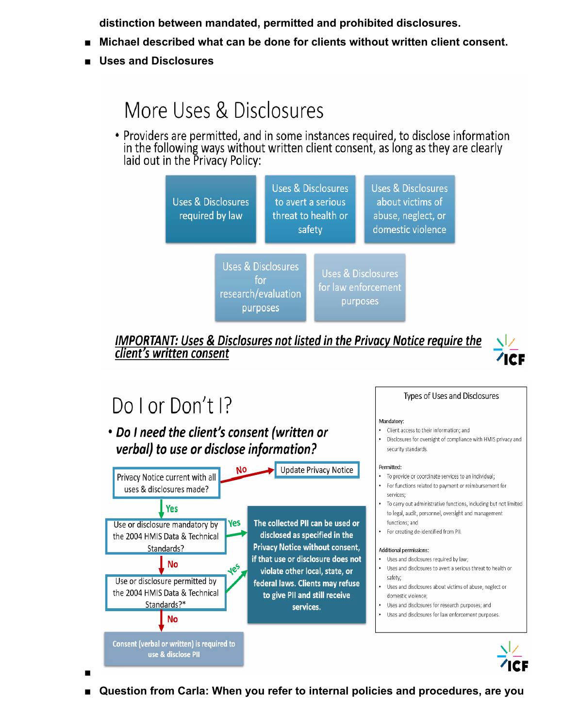**distinction between mandated, permitted and prohibited disclosures.**

- **■ Michael described what can be done for clients without written client consent.**
- **■ Uses and Disclosures**

## More Uses & Disclosures

• Providers are permitted, and in some instances required, to disclose information in the following ways without written client consent, as long as they are clearly laid out in the Privacy Policy:



**IMPORTANT: Uses & Disclosures not listed in the Privacy Notice require the** client's written consent



Types of Uses and Disclosures

• Disclosures for oversight of compliance with HMIS privacy and

• Client access to their information; and

Mandatory:

security standards.

# Do Lor Don't P

**■**

• Do I need the client's consent (written or verbal) to use or disclose information?



**■ Question from Carla: When you refer to internal policies and procedures, are you**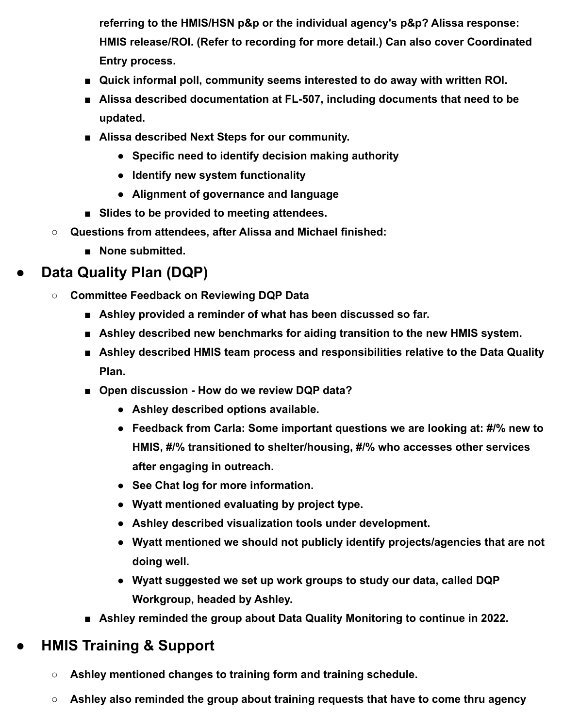**referring to the HMIS/HSN p&p or the individual agency's p&p? Alissa response: HMIS release/ROI. (Refer to recording for more detail.) Can also cover Coordinated Entry process.**

- **■ Quick informal poll, community seems interested to do away with written ROI.**
- Alissa described documentation at FL-507, including documents that need to be **updated.**
- **■ Alissa described Next Steps for our community.**
	- **● Specific need to identify decision making authority**
	- **● Identify new system functionality**
	- **● Alignment of governance and language**
- Slides to be provided to meeting attendees.
- **○ Questions from attendees, after Alissa and Michael finished:**
	- **■ None submitted.**

## **● Data Quality Plan (DQP)**

- **○ Committee Feedback on Reviewing DQP Data**
	- **■ Ashley provided a reminder of what has been discussed so far.**
	- **Ashley described new benchmarks for aiding transition to the new HMIS system.**
	- **Ashley described HMIS team process and responsibilities relative to the Data Quality Plan.**
	- **Open discussion How do we review DQP data?** 
		- **● Ashley described options available.**
		- **● Feedback from Carla: Some important questions we are looking at: #/% new to HMIS, #/% transitioned to shelter/housing, #/% who accesses other services after engaging in outreach.**
		- **● See Chat log for more information.**
		- **● Wyatt mentioned evaluating by project type.**
		- **● Ashley described visualization tools under development.**
		- **● Wyatt mentioned we should not publicly identify projects/agencies that are not doing well.**
		- **● Wyatt suggested we set up work groups to study our data, called DQP Workgroup, headed by Ashley.**
	- **Ashley reminded the group about Data Quality Monitoring to continue in 2022.**

### **● HMIS Training & Support**

- **○ Ashley mentioned changes to training form and training schedule.**
- **○ Ashley also reminded the group about training requests that have to come thru agency**